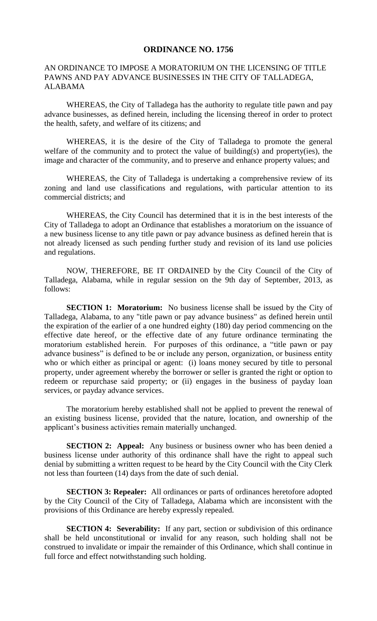## **ORDINANCE NO. 1756**

## AN ORDINANCE TO IMPOSE A MORATORIUM ON THE LICENSING OF TITLE PAWNS AND PAY ADVANCE BUSINESSES IN THE CITY OF TALLADEGA, ALABAMA

WHEREAS, the City of Talladega has the authority to regulate title pawn and pay advance businesses, as defined herein, including the licensing thereof in order to protect the health, safety, and welfare of its citizens; and

WHEREAS, it is the desire of the City of Talladega to promote the general welfare of the community and to protect the value of building(s) and property(ies), the image and character of the community, and to preserve and enhance property values; and

WHEREAS, the City of Talladega is undertaking a comprehensive review of its zoning and land use classifications and regulations, with particular attention to its commercial districts; and

WHEREAS, the City Council has determined that it is in the best interests of the City of Talladega to adopt an Ordinance that establishes a moratorium on the issuance of a new business license to any title pawn or pay advance business as defined herein that is not already licensed as such pending further study and revision of its land use policies and regulations.

NOW, THEREFORE, BE IT ORDAINED by the City Council of the City of Talladega, Alabama, while in regular session on the 9th day of September, 2013, as follows:

**SECTION 1: Moratorium:** No business license shall be issued by the City of Talladega, Alabama, to any "title pawn or pay advance business" as defined herein until the expiration of the earlier of a one hundred eighty (180) day period commencing on the effective date hereof, or the effective date of any future ordinance terminating the moratorium established herein. For purposes of this ordinance, a "title pawn or pay advance business" is defined to be or include any person, organization, or business entity who or which either as principal or agent: (i) loans money secured by title to personal property, under agreement whereby the borrower or seller is granted the right or option to redeem or repurchase said property; or (ii) engages in the business of payday loan services, or payday advance services.

The moratorium hereby established shall not be applied to prevent the renewal of an existing business license, provided that the nature, location, and ownership of the applicant's business activities remain materially unchanged.

**SECTION 2: Appeal:** Any business or business owner who has been denied a business license under authority of this ordinance shall have the right to appeal such denial by submitting a written request to be heard by the City Council with the City Clerk not less than fourteen (14) days from the date of such denial.

**SECTION 3: Repealer:** All ordinances or parts of ordinances heretofore adopted by the City Council of the City of Talladega, Alabama which are inconsistent with the provisions of this Ordinance are hereby expressly repealed.

**SECTION 4: Severability:** If any part, section or subdivision of this ordinance shall be held unconstitutional or invalid for any reason, such holding shall not be construed to invalidate or impair the remainder of this Ordinance, which shall continue in full force and effect notwithstanding such holding.